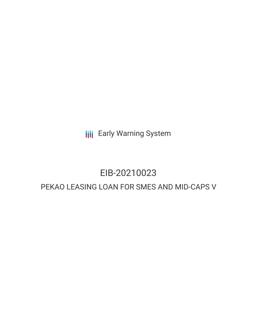**III** Early Warning System

# EIB-20210023

# PEKAO LEASING LOAN FOR SMES AND MID-CAPS V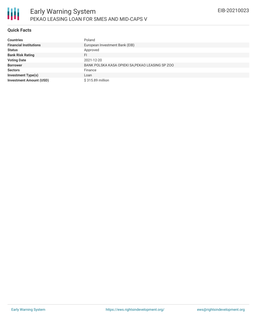# **Quick Facts**

| <b>Countries</b>               | Poland                                           |
|--------------------------------|--------------------------------------------------|
| <b>Financial Institutions</b>  | European Investment Bank (EIB)                   |
| <b>Status</b>                  | Approved                                         |
| <b>Bank Risk Rating</b>        | FI                                               |
| <b>Voting Date</b>             | 2021-12-20                                       |
| <b>Borrower</b>                | BANK POLSKA KASA OPIEKI SA, PEKAO LEASING SP ZOO |
| <b>Sectors</b>                 | Finance                                          |
| <b>Investment Type(s)</b>      | Loan                                             |
| <b>Investment Amount (USD)</b> | \$315.89 million                                 |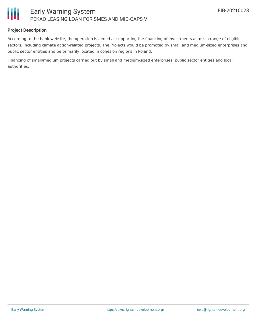

## **Project Description**

According to the bank website, the operation is aimed at supporting the financing of investments across a range of eligible sectors, including climate action-related projects. The Projects would be promoted by small and medium-sized enterprises and public sector entities and be primarily located in cohesion regions in Poland.

Financing of small/medium projects carried out by small and medium-sized enterprises, public sector entities and local authorities.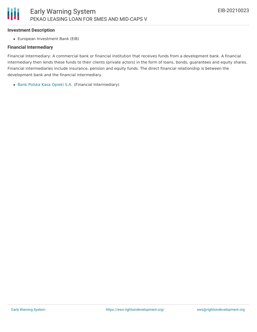#### **Investment Description**

European Investment Bank (EIB)

#### **Financial Intermediary**

Financial Intermediary: A commercial bank or financial institution that receives funds from a development bank. A financial intermediary then lends these funds to their clients (private actors) in the form of loans, bonds, guarantees and equity shares. Financial intermediaries include insurance, pension and equity funds. The direct financial relationship is between the development bank and the financial intermediary.

Bank [Polska](file:///actor/1954/) Kasa Opieki S.A. (Financial Intermediary)